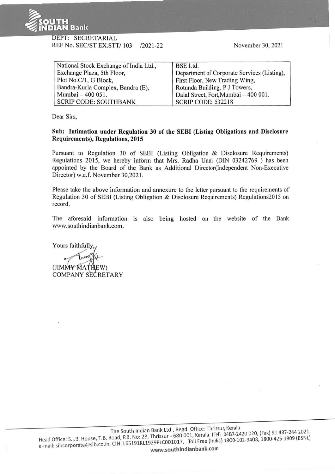

## DEPT: SECRETARIAL REF No. SEC/ST EX.STT/ 103 /2021-22

November 30, 2021

| National Stock Exchange of India Ltd., | <b>BSE Ltd.</b>                             |
|----------------------------------------|---------------------------------------------|
| Exchange Plaza, 5th Floor,             | Department of Corporate Services (Listing), |
| Plot No.C/1, G Block,                  | First Floor, New Trading Wing,              |
| Bandra-Kurla Complex, Bandra (E),      | Rotunda Building, P J Towers,               |
| Mumbai - 400 051.                      | Dalal Street, Fort, Mumbai - 400 001.       |
| <b>SCRIP CODE: SOUTHBANK</b>           | SCRIP CODE: 532218                          |

Dear Sirs,

**Sub: Intimation under Regulation 30 of the SEBI (Listing Obligations and Disclosure Requirements), Regulations, 2015** 

Pursuant to Regulation 30 of SEBI (Listing Obligation & Disclosure Requirements) Regulations 2015, we hereby inform that Mrs. Radha Unni (DIN 03242769 ) has been appointed by the Board of the Bank as Additional Director(Independent Non-Executive Director) w.e.f. November 30,2021.

Please take the above information and annexure to the letter pursuant to the requirements of Regulation 30 of SEBI (Listing Obligation & Disclosure Requirements) Regulations20 15 on record.

The aforesaid information is also being hosted on the website of the Bank www.southindianbank.com.

Yours faithfully. (JIMMY MATHE COMPANY SECRETARY